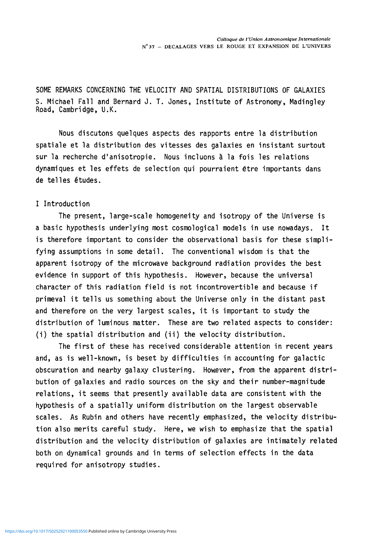**SOME REMARKS CONCERNING THE VELOCITY AND SPATIAL DISTRIBUTIONS OF GALAXIES S. Michael Fall and Bernard J. T. Jones, Institute of Astronomy, Madingley Road, Cambridge, U.K.** 

**Nous discutons quelques aspects des rapports entre la distribution spatiale et la distribution des vitesses des galaxies en insistant surtout sur la recherche d'anisotropie. Nous incluons & la fois les relations dynamiques et les effets de selection qui pourraient 6tre importants dans**  de telles études.

## **I Introduction**

**The present, large-scale homogeneity and isotropy of the Universe is a basic hypothesis underlying most cosmological models in use nowadays. It is therefore important to consider the observational basis for these simplifying assumptions in some detail. The conventional wisdom is that the apparent isotropy of the microwave background radiation provides the best evidence in support of this hypothesis. However, because the universal character of this radiation field is not incontrovertible and because if primeval it tells us something about the Universe only in the distant past and therefore on the ^ery largest scales, it is important to study the distribution of luminous matter. These are two related aspects to consider: (i) the spatial distribution and (ii) the velocity distribution.** 

**The first of these has received considerable attention in recent years and, as is well-known, is beset by difficulties in accounting for galactic obscuration and nearby galaxy clustering. However, from the apparent distribution of galaxies and radio sources on the sky and their number-magnitude relations, it seems that presently available data are consistent with the hypothesis of a spatially uniform distribution on the largest observable scales. As Rubin and others have recently emphasized, the velocity distribution also merits careful study. Here, we wish to emphasize that the spatial distribution and the velocity distribution of galaxies are intimately related both on dynamical grounds and in terms of selection effects in the data required for anisotropy studies.**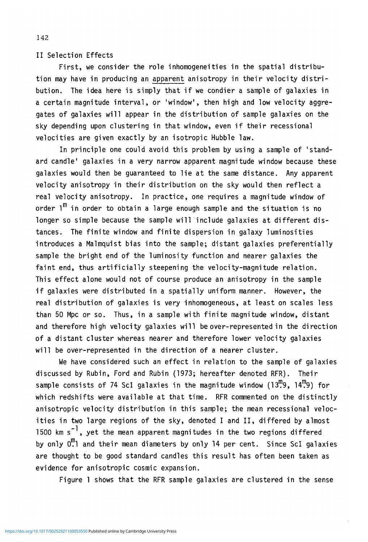II Selection Effects

First, we consider the role inhomogeneities in the spatial distribution may have in producing an apparent anisotropy in their velocity distribution. The idea here is simply that if we condier a sample of galaxies in a certain magnitude interval, or 'window', then high and low velocity aggregates of galaxies will appear in the distribution of sample galaxies on the sky depending upon clustering in that window, even if their recessional velocities are given exactly by an isotropic Hubble law.

In principle one could avoid this problem by using a sample of 'standard candle' galaxies in a very narrow apparent magnitude window because these galaxies would then be guaranteed to lie at the same distance. Any apparent velocity anisotropy in their distribution on the sky would then reflect a real velocity anisotropy. In practice, one requires a magnitude window of order  $1^{\text{m}}$  in order to obtain a large enough sample and the situation is no longer so simple because the sample will include galaxies at different distances. The finite window and finite dispersion in galaxy luminosities introduces a Malmquist bias into the sample; distant galaxies preferentially sample the bright end of the luminosity function and nearer galaxies the faint end, thus artificially steepening the velocity-magnitude relation. This effect alone would not of course produce an anisotropy in the sample if galaxies were distributed in a spatially uniform manner. However, the real distribution of galaxies is very inhomogeneous, at least on scales less than 50 Mpc or so. Thus, in a sample with finite magnitude window, distant and therefore high velocity galaxies will be over-represented in the direction of a distant cluster whereas nearer and therefore lower velocity galaxies will be over-represented in the direction of a nearer cluster.

We have considered such an effect in relation to the sample of galaxies discussed by Rubin, Ford and Rubin (1973; hereafter denoted RFR). Their sample consists of 74 ScI galaxies in the magnitude window  $(13<sup>m</sup>, 9, 14<sup>m</sup>,9)$  for which redshifts were available at that time. RFR commented on the distinctly anisotropic velocity distribution in this sample; the mean recessional velocities in two large regions of the sky, denoted I and II, differed by almost 1500 km  $s^{-1}$ , yet the mean apparent magnitudes in the two regions differed by only  $0.1$  and their mean diameters by only 14 per cent. Since ScI galaxies are thought to be good standard candles this result has often been taken as evidence for anisotropic cosmic expansion.

Figure 1 shows that the RFR sample galaxies are clustered in the sense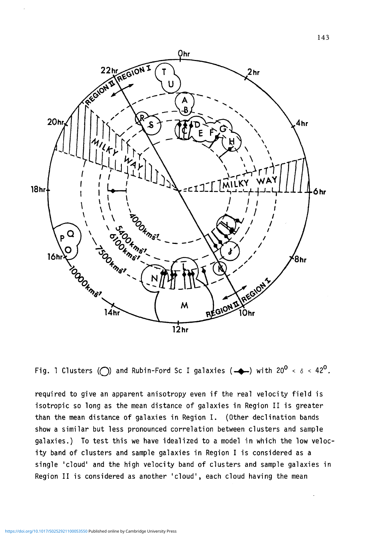

Fig. 1 Clusters ( $\bigcirc$ ) and Rubin-Ford Sc I galaxies ( $\bigcirc$ ) with 20<sup>0</sup> <  $\delta$  < 42<sup>0</sup>.

required to give an apparent anisotropy even if the real velocity field is isotropic so long as the mean distance of galaxies in Region II is greater than the mean distance of galaxies in Region I. (Other declination bands show a similar but less pronounced correlation between clusters and sample galaxies.) To test this we have idealized to a model in which the low velocity band of clusters and sample galaxies in Region I is considered as a single 'cloud' and the high velocity band of clusters and sample galaxies in Region II is considered as another 'cloud', each cloud having the mean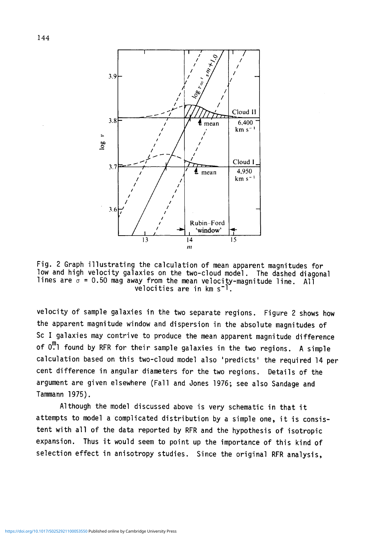

Fig. 2 Graph illustrating the calculation of mean apparent magnitudes for low and high velocity galaxies on the two-cloud model. The dashed diagonal lines are  $\sigma$  = 0.50 mag away from the mean velocity-magnitude line. All velocities are in  $km s^{-1}$ .

velocity of sample galaxies in the two separate regions. Figure 2 shows how the apparent magnitude window and dispersion in the absolute magnitudes of Sc I galaxies may contrive to produce the mean apparent magnitude difference of  $0.1$  found by RFR for their sample galaxies in the two regions. A simple calculation based on this two-cloud model also 'predicts' the required 14 per cent difference in angular diameters for the two regions. Details of the argument are given elsewhere (Fall and Jones 1976; see also Sandage and Tammann 1975).

Although the model discussed above is very schematic in that it attempts to model a complicated distribution by a simple one, it is consistent with all of the data reported by RFR and the hypothesis of isotropic expansion. Thus it would seem to point up the importance of this kind of selection effect in anisotropy studies. Since the original RFR analysis,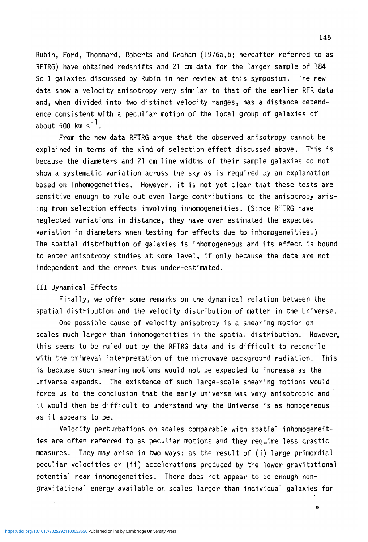Rubin, Ford, Thonnard, Roberts and Graham (1976a,b; hereafter referred to as RFTRG) have obtained redshifts and 21 cm data for the larger sample of 184 Sc I galaxies discussed by Rubin in her review at this symposium. The new data show a velocity anisotropy very similar to that of the earlier RFR data and, when divided into two distinct velocity ranges, has a distance dependence consistent with a peculiar motion of the local group of galaxies of about 500  $km s^{-1}$ .

From the new data RFTRG argue that the observed anisotropy cannot be explained in terms of the kind of selection effect discussed above. This is because the diameters and 21 cm line widths of their sample galaxies do not show a systematic variation across the sky as is required by an explanation based on inhomogeneities. However, it is not yet clear that these tests are sensitive enough to rule out even large contributions to the anisotropy arising from selection effects involving inhomogeneities. (Since RFTRG have neglected variations in distance, they have over estimated the expected variation in diameters when testing for effects due to inhomogeneities.) The spatial distribution of galaxies is inhomogeneous and its effect is bound to enter anisotropy studies at some level, if only because the data are not independent and the errors thus under-estimated.

## Ill Dynamical Effects

Finally, we offer some remarks on the dynamical relation between the spatial distribution and the velocity distribution of matter in the Universe.

One possible cause of velocity anisotropy is a shearing motion on scales much larger than inhomogeneities in the spatial distribution. However, this seems to be ruled out by the RFTRG data and is difficult to reconcile with the primeval interpretation of the microwave background radiation. This is because such shearing motions would not be expected to increase as the Universe expands. The existence of such large-scale shearing motions would force us to the conclusion that the early universe was very anisotropic and it would then be difficult to understand why the Universe is as homogeneous as it appears to be.

Velocity perturbations on scales comparable with spatial inhomogeneities are often referred to as peculiar motions and they require less drastic measures. They may arise in two ways: as the result of (i) large primordial peculiar velocities or (ii) accelerations produced by the lower gravitational potential near inhomogeneities. There does not appear to be enough nongravitational energy available on scales larger than individual galaxies for

145

 $10<sup>10</sup>$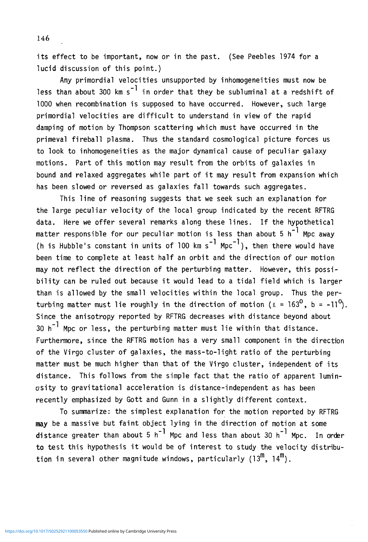its effect to be important, now or in the past. (See Peebles 1974 for a lucid discussion of this point.)

Any primordial velocities unsupported by inhomogeneities must now be less than about 300 km s<sup>-1</sup> in order that they be subluminal at a redshift of 1000 when recombination is supposed to have occurred. However, such large primordial velocities are difficult to understand in view of the rapid damping of motion by Thompson scattering which must have occurred in the primeval fireball plasma. Thus the standard cosmological picture forces us to look to inhomogeneities as the major dynamical cause of peculiar galaxy motions. Part of this motion may result from the orbits of galaxies in bound and relaxed aggregates while part of it may result from expansion which has been slowed or reversed as galaxies fall towards such aggregates.

This line of reasoning suggests that we seek such an explanation for the large peculiar velocity of the local group indicated by the recent RFTRG data. Here we offer several remarks along these lines. If the hypothetical matter responsible for our peculiar motion is less than about 5 h<sup>-1</sup> Mpc away<br>(h is Hubble's constant in units of 100 km s<sup>-1</sup> Mpc<sup>-1</sup>), then there would have been time to complete at least half an orbit and the direction of our motion may not reflect the direction of the perturbing matter. However, this possibility can be ruled out because it would lead to a tidal field which is larger than is allowed by the small velocities within the local group. Thus the perturbing matter must lie roughly in the direction of motion ( $\ell = 163^{\circ}$ , b = -11<sup>o</sup>). Since the anisotropy reported by RFTRG decreases with distance beyond about 30  $h^{-1}$  Mpc or less, the perturbing matter must lie within that distance. Furthermore, since the RFTRG motion has a yery small component in the direction of the Virgo cluster of galaxies, the mass-to-light ratio of the perturbing matter must be much higher than that of the Virgo cluster, independent of its distance. This follows from the simple fact that the ratio of apparent luminosity to gravitational acceleration is distance-independent as has been recently emphasized by Gott and Gunn in a slightly different context.

To summarize: the simplest explanation for the motion reported by RFTRG may be a massive but faint object lying in the direction of motion at some distance greater than about 5 h<sup>-1</sup> Mpc and less than about 30 h<sup>-1</sup> Mpc. In order to test this hypothesis it would be of interest to study the velocity distribution in several other magnitude windows, particularly (13<sup>m</sup>, 14<sup>m</sup>).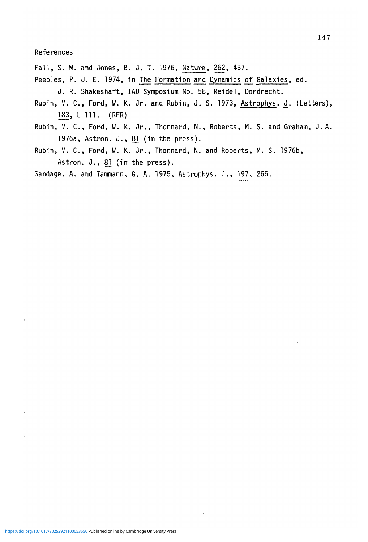References

- Fall, S. M. and Jones, B. J. T. 1976, Nature, 262, 457.
- Peebles, P. J. E. 1974, in The Formation and Dynamics of Galaxies, ed. J. R. Shakeshaft, IAU Symposium No. 58, Reidel, Dordrecht.
- Rubin, V. C., Ford, W. K. Jr. and Rubin, J. S. 1973, Astrophys. J. (Letters), 183, L 111. (RFR)
- Rubin, V. C., Ford, W. K. Jr., Thonnard, N., Roberts, M. S. and Graham, J. A. 1976a, Astron. J., 81 (in the press).
- Rubin, V. C., Ford, W. K. Jr., Thonnard, N. and Roberts, M. S. 1976b, Astron. J., 81 (in the press).

Sandage, A. and Tammann, G. A. 1975, Astrophys. J., 197, 265.